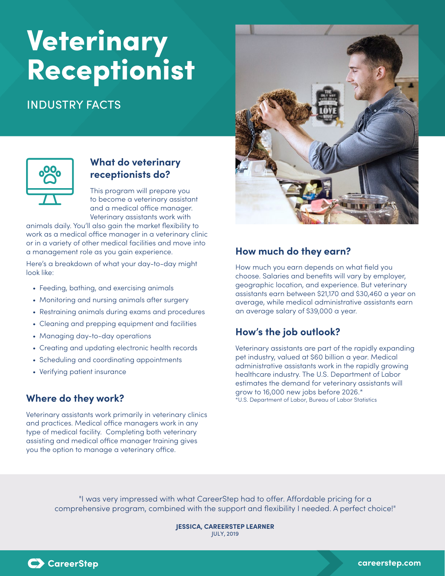## Veterinary Receptionist

## INDUSTRY FACTS





## **What do veterinary receptionists do?**

This program will prepare you to become a veterinary assistant and a medical office manager. Veterinary assistants work with

animals daily. You'll also gain the market flexibility to work as a medical office manager in a veterinary clinic or in a variety of other medical facilities and move into a management role as you gain experience.

Here's a breakdown of what your day-to-day might look like:

- Feeding, bathing, and exercising animals
- Monitoring and nursing animals after surgery
- Restraining animals during exams and procedures
- Cleaning and prepping equipment and facilities
- Managing day-to-day operations
- Creating and updating electronic health records
- Scheduling and coordinating appointments
- Verifying patient insurance

### **Where do they work?**

Veterinary assistants work primarily in veterinary clinics and practices. Medical office managers work in any type of medical facility. Completing both veterinary assisting and medical office manager training gives you the option to manage a veterinary office.

## **How much do they earn?**

How much you earn depends on what field you choose. Salaries and benefits will vary by employer, geographic location, and experience. But veterinary assistants earn between \$21,170 and \$30,460 a year on average, while medical administrative assistants earn an average salary of \$39,000 a year.

## **How's the job outlook?**

Veterinary assistants are part of the rapidly expanding pet industry, valued at \$60 billion a year. Medical administrative assistants work in the rapidly growing healthcare industry. The U.S. Department of Labor estimates the demand for veterinary assistants will grow to 16,000 new jobs before 2026.\* \*U.S. Department of Labor, Bureau of Labor Statistics

"I was very impressed with what CareerStep had to offer. Affordable pricing for a comprehensive program, combined with the support and flexibility I needed. A perfect choice!"

> **JESSICA, CAREERSTEP LEARNER** JULY, 2019